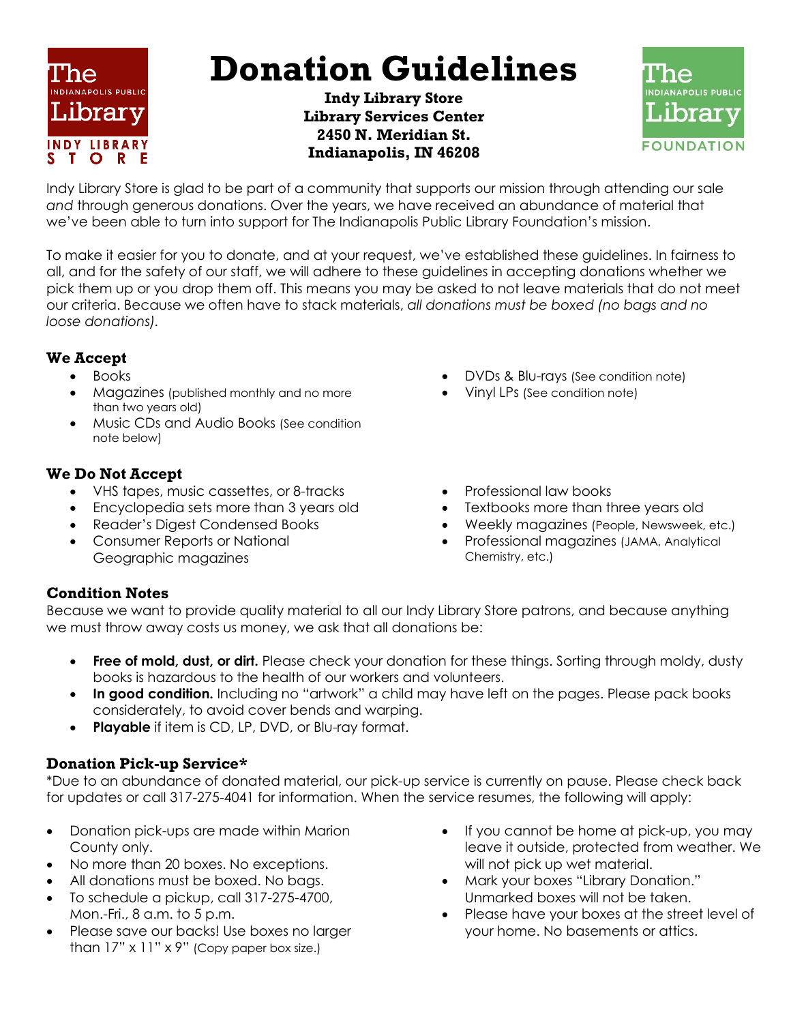

# **Donation Guidelines**

**Indy Library Store Library Services Center 2450 N. Meridian St. Indianapolis, IN 46208**



Indy Library Store is glad to be part of a community that supports our mission through attending our sale *and* through generous donations. Over the years, we have received an abundance of material that we've been able to turn into support for The Indianapolis Public Library Foundation's mission.

To make it easier for you to donate, and at your request, we've established these guidelines. In fairness to all, and for the safety of our staff, we will adhere to these guidelines in accepting donations whether we pick them up or you drop them off. This means you may be asked to not leave materials that do not meet our criteria. Because we often have to stack materials, *all donations must be boxed (no bags and no loose donations).*

## **We Accept**

- Books
- Magazines (published monthly and no more than two years old)
- Music CDs and Audio Books (See condition note below)

# **We Do Not Accept**

- VHS tapes, music cassettes, or 8-tracks
- Encyclopedia sets more than 3 years old
- Reader's Digest Condensed Books
- Consumer Reports or National Geographic magazines
- DVDs & Blu-rays (See condition note)
- Vinyl LPs (See condition note)
- Professional law books
- Textbooks more than three years old
- Weekly magazines (People, Newsweek, etc.)
- Professional magazines (JAMA, Analytical Chemistry, etc.)

# **Condition Notes**

Because we want to provide quality material to all our Indy Library Store patrons, and because anything we must throw away costs us money, we ask that all donations be:

- **Free of mold, dust, or dirt.** Please check your donation for these things. Sorting through moldy, dusty books is hazardous to the health of our workers and volunteers.
- **In good condition.** Including no "artwork" a child may have left on the pages. Please pack books considerately, to avoid cover bends and warping.
- **Playable** if item is CD, LP, DVD, or Blu-ray format.

## **Donation Pick-up Service\***

\*Due to an abundance of donated material, our pick-up service is currently on pause. Please check back for updates or call 317-275-4041 for information. When the service resumes, the following will apply:

- Donation pick-ups are made within Marion County only.
- No more than 20 boxes. No exceptions.
- All donations must be boxed. No bags.
- To schedule a pickup, call 317-275-4700, Mon.-Fri., 8 a.m. to 5 p.m.
- Please save our backs! Use boxes no larger than 17" x 11" x 9" (Copy paper box size.)
- If you cannot be home at pick-up, you may leave it outside, protected from weather. We will not pick up wet material.
- Mark your boxes "Library Donation." Unmarked boxes will not be taken.
- Please have your boxes at the street level of your home. No basements or attics.